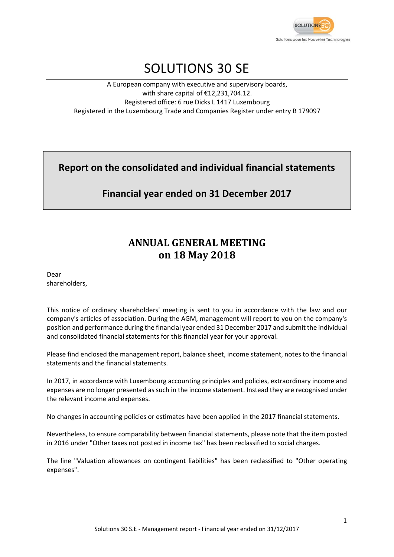

# SOLUTIONS 30 SE

A European company with executive and supervisory boards, with share capital of €12,231,704.12. Registered office: 6 rue Dicks L 1417 Luxembourg Registered in the Luxembourg Trade and Companies Register under entry B 179097

**Report on the consolidated and individual financial statements**

**Financial year ended on 31 December 2017**

# **ANNUAL GENERAL MEETING on 18 May 2018**

Dear shareholders,

This notice of ordinary shareholders' meeting is sent to you in accordance with the law and our company's articles of association. During the AGM, management will report to you on the company's position and performance during the financial year ended 31 December 2017 and submit the individual and consolidated financial statements for this financial year for your approval.

Please find enclosed the management report, balance sheet, income statement, notes to the financial statements and the financial statements.

In 2017, in accordance with Luxembourg accounting principles and policies, extraordinary income and expenses are no longer presented as such in the income statement. Instead they are recognised under the relevant income and expenses.

No changes in accounting policies or estimates have been applied in the 2017 financial statements.

Nevertheless, to ensure comparability between financial statements, please note that the item posted in 2016 under "Other taxes not posted in income tax" has been reclassified to social charges.

The line "Valuation allowances on contingent liabilities" has been reclassified to "Other operating expenses".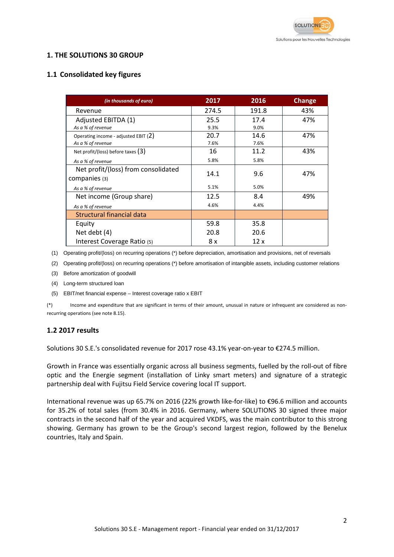

### **1. THE SOLUTIONS 30 GROUP**

### **1.1 Consolidated key figures**

| (in thousands of euro)                 | 2017  | 2016  | <b>Change</b> |
|----------------------------------------|-------|-------|---------------|
| Revenue                                | 274.5 | 191.8 | 43%           |
| Adjusted EBITDA (1)                    | 25.5  | 17.4  | 47%           |
| As a % of revenue                      | 9.3%  | 9.0%  |               |
| Operating income - adjusted EBIT $(2)$ | 20.7  | 14.6  | 47%           |
| As a % of revenue                      | 7.6%  | 7.6%  |               |
| Net profit/(loss) before taxes $(3)$   | 16    | 11.2  | 43%           |
| As a % of revenue                      | 5.8%  | 5.8%  |               |
| Net profit/(loss) from consolidated    | 14.1  | 9.6   | 47%           |
| companies (3)                          |       |       |               |
| As a % of revenue                      | 5.1%  | 5.0%  |               |
| Net income (Group share)               | 12.5  | 8.4   | 49%           |
| As a % of revenue                      | 4.6%  | 4.4%  |               |
| Structural financial data              |       |       |               |
| Equity                                 | 59.8  | 35.8  |               |
| Net debt (4)                           | 20.8  | 20.6  |               |
| Interest Coverage Ratio (5)            | 8 x   | 12x   |               |

(1) Operating profit/(loss) on recurring operations (\*) before depreciation, amortisation and provisions, net of reversals

(2) Operating profit/(loss) on recurring operations (\*) before amortisation of intangible assets, including customer relations

- (3) Before amortization of goodwill
- (4) Long-term structured loan
- (5) EBIT/net financial expense Interest coverage ratio x EBIT

(\*) Income and expenditure that are significant in terms of their amount, unusual in nature or infrequent are considered as nonrecurring operations (see note 8.15).

### **1.2 2017 results**

Solutions 30 S.E.'s consolidated revenue for 2017 rose 43.1% year-on-year to €274.5 million.

Growth in France was essentially organic across all business segments, fuelled by the roll-out of fibre optic and the Energie segment (installation of Linky smart meters) and signature of a strategic partnership deal with Fujitsu Field Service covering local IT support.

International revenue was up 65.7% on 2016 (22% growth like-for-like) to €96.6 million and accounts for 35.2% of total sales (from 30.4% in 2016. Germany, where SOLUTIONS 30 signed three major contracts in the second half of the year and acquired VKDFS, was the main contributor to this strong showing. Germany has grown to be the Group's second largest region, followed by the Benelux countries, Italy and Spain.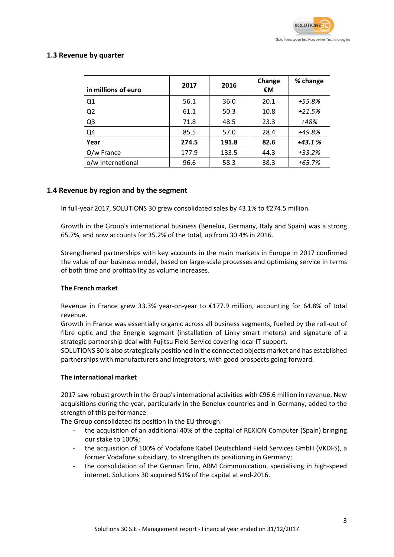### **1.3 Revenue by quarter**

| in millions of euro | 2017  | 2016  | Change<br>€M | % change |
|---------------------|-------|-------|--------------|----------|
| Q1                  | 56.1  | 36.0  | 20.1         | +55.8%   |
| Q <sub>2</sub>      | 61.1  | 50.3  | 10.8         | $+21.5%$ |
| Q <sub>3</sub>      | 71.8  | 48.5  | 23.3         | +48%     |
| Q4                  | 85.5  | 57.0  | 28.4         | +49.8%   |
| Year                | 274.5 | 191.8 | 82.6         | $+43.1%$ |
| O/w France          | 177.9 | 133.5 | 44.3         | +33.2%   |
| o/w International   | 96.6  | 58.3  | 38.3         | $+65.7%$ |

### **1.4 Revenue by region and by the segment**

In full-year 2017, SOLUTIONS 30 grew consolidated sales by 43.1% to €274.5 million.

Growth in the Group's international business (Benelux, Germany, Italy and Spain) was a strong 65.7%, and now accounts for 35.2% of the total, up from 30.4% in 2016.

Strengthened partnerships with key accounts in the main markets in Europe in 2017 confirmed the value of our business model, based on large-scale processes and optimising service in terms of both time and profitability as volume increases.

#### **The French market**

Revenue in France grew 33.3% year-on-year to €177.9 million, accounting for 64.8% of total revenue.

Growth in France was essentially organic across all business segments, fuelled by the roll-out of fibre optic and the Energie segment (installation of Linky smart meters) and signature of a strategic partnership deal with Fujitsu Field Service covering local IT support.

SOLUTIONS 30 is also strategically positioned in the connected objects market and has established partnerships with manufacturers and integrators, with good prospects going forward.

#### **The international market**

2017 saw robust growth in the Group's international activities with €96.6 million in revenue. New acquisitions during the year, particularly in the Benelux countries and in Germany, added to the strength of this performance.

The Group consolidated its position in the EU through:

- the acquisition of an additional 40% of the capital of REXION Computer (Spain) bringing our stake to 100%;
- the acquisition of 100% of Vodafone Kabel Deutschland Field Services GmbH (VKDFS), a former Vodafone subsidiary, to strengthen its positioning in Germany;
- the consolidation of the German firm, ABM Communication, specialising in high-speed internet. Solutions 30 acquired 51% of the capital at end-2016.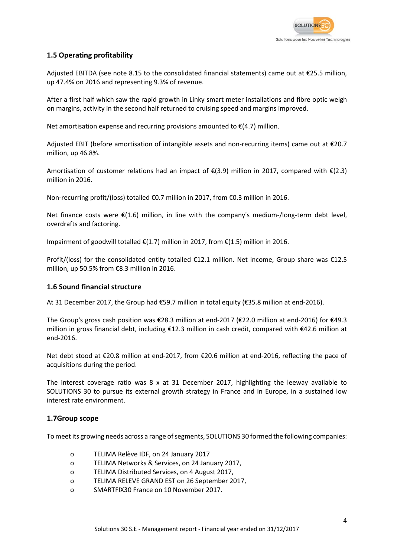

### **1.5 Operating profitability**

Adjusted EBITDA (see note 8.15 to the consolidated financial statements) came out at €25.5 million, up 47.4% on 2016 and representing 9.3% of revenue.

After a first half which saw the rapid growth in Linky smart meter installations and fibre optic weigh on margins, activity in the second half returned to cruising speed and margins improved.

Net amortisation expense and recurring provisions amounted to  $E(4.7)$  million.

Adjusted EBIT (before amortisation of intangible assets and non-recurring items) came out at €20.7 million, up 46.8%.

Amortisation of customer relations had an impact of  $E(3.9)$  million in 2017, compared with  $E(2.3)$ million in 2016.

Non-recurring profit/(loss) totalled €0.7 million in 2017, from €0.3 million in 2016.

Net finance costs were €(1.6) million, in line with the company's medium-/long-term debt level, overdrafts and factoring.

Impairment of goodwill totalled  $\epsilon$ (1.7) million in 2017, from  $\epsilon$ (1.5) million in 2016.

Profit/(loss) for the consolidated entity totalled €12.1 million. Net income, Group share was €12.5 million, up 50.5% from €8.3 million in 2016.

### **1.6 Sound financial structure**

At 31 December 2017, the Group had €59.7 million in total equity (€35.8 million at end-2016).

The Group's gross cash position was €28.3 million at end-2017 (€22.0 million at end-2016) for €49.3 million in gross financial debt, including €12.3 million in cash credit, compared with €42.6 million at end-2016.

Net debt stood at €20.8 million at end-2017, from €20.6 million at end-2016, reflecting the pace of acquisitions during the period.

The interest coverage ratio was  $8 \times at 31$  December 2017, highlighting the leeway available to SOLUTIONS 30 to pursue its external growth strategy in France and in Europe, in a sustained low interest rate environment.

#### **1.7Group scope**

To meet its growing needs across a range of segments, SOLUTIONS 30 formed the following companies:

- o TELIMA Relève IDF, on 24 January 2017
- o TELIMA Networks & Services, on 24 January 2017,
- o TELIMA Distributed Services, on 4 August 2017,
- o TELIMA RELEVE GRAND EST on 26 September 2017,
- o SMARTFIX30 France on 10 November 2017.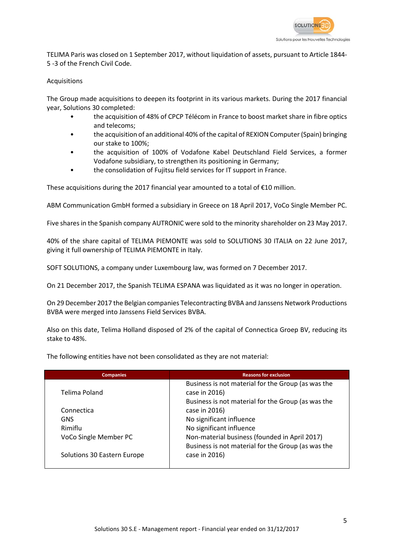

TELIMA Paris was closed on 1 September 2017, without liquidation of assets, pursuant to Article 1844- 5 -3 of the French Civil Code.

#### **Acquisitions**

The Group made acquisitions to deepen its footprint in its various markets. During the 2017 financial year, Solutions 30 completed:

- the acquisition of 48% of CPCP Télécom in France to boost market share in fibre optics and telecoms;
- the acquisition of an additional 40% of the capital of REXION Computer (Spain) bringing our stake to 100%;
- the acquisition of 100% of Vodafone Kabel Deutschland Field Services, a former Vodafone subsidiary, to strengthen its positioning in Germany;
- the consolidation of Fujitsu field services for IT support in France.

These acquisitions during the 2017 financial year amounted to a total of  $\epsilon$ 10 million.

ABM Communication GmbH formed a subsidiary in Greece on 18 April 2017, VoCo Single Member PC.

Five shares in the Spanish company AUTRONIC were sold to the minority shareholder on 23 May 2017.

40% of the share capital of TELIMA PIEMONTE was sold to SOLUTIONS 30 ITALIA on 22 June 2017, giving it full ownership of TELIMA PIEMONTE in Italy.

SOFT SOLUTIONS, a company under Luxembourg law, was formed on 7 December 2017.

On 21 December 2017, the Spanish TELIMA ESPANA was liquidated as it was no longer in operation.

On 29 December 2017 the Belgian companies Telecontracting BVBA and Janssens Network Productions BVBA were merged into Janssens Field Services BVBA.

Also on this date, Telima Holland disposed of 2% of the capital of Connectica Groep BV, reducing its stake to 48%.

The following entities have not been consolidated as they are not material:

| <b>Companies</b>            | <b>Reasons for exclusion</b>                       |
|-----------------------------|----------------------------------------------------|
|                             | Business is not material for the Group (as was the |
| Telima Poland               | case in 2016)                                      |
|                             | Business is not material for the Group (as was the |
| Connectica                  | case in 2016)                                      |
| <b>GNS</b>                  | No significant influence                           |
| Rimiflu                     | No significant influence                           |
| VoCo Single Member PC       | Non-material business (founded in April 2017)      |
|                             | Business is not material for the Group (as was the |
| Solutions 30 Eastern Europe | case in 2016)                                      |
|                             |                                                    |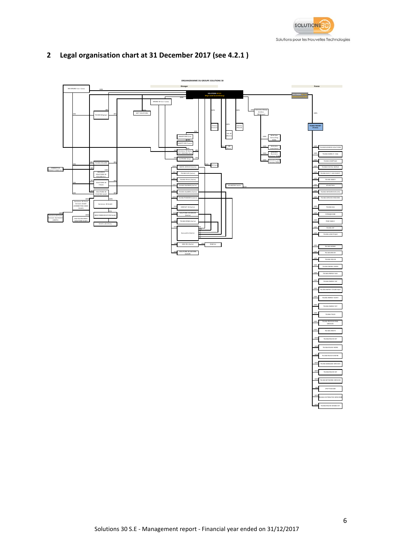

## **2 Legal organisation chart at 31 December 2017 (see 4.2.1 )**

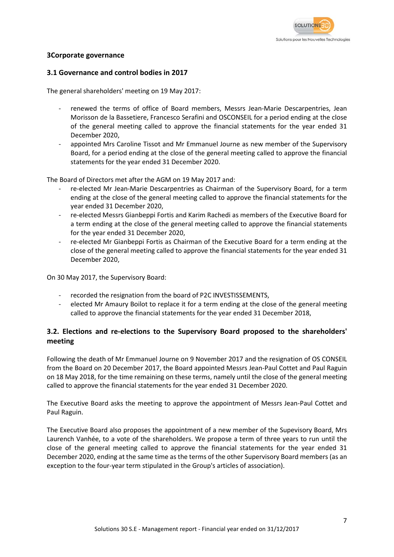

### **3Corporate governance**

#### **3.1 Governance and control bodies in 2017**

The general shareholders' meeting on 19 May 2017:

- renewed the terms of office of Board members, Messrs Jean-Marie Descarpentries, Jean Morisson de la Bassetiere, Francesco Serafini and OSCONSEIL for a period ending at the close of the general meeting called to approve the financial statements for the year ended 31 December 2020,
- appointed Mrs Caroline Tissot and Mr Emmanuel Journe as new member of the Supervisory Board, for a period ending at the close of the general meeting called to approve the financial statements for the year ended 31 December 2020.

The Board of Directors met after the AGM on 19 May 2017 and:

- re-elected Mr Jean-Marie Descarpentries as Chairman of the Supervisory Board, for a term ending at the close of the general meeting called to approve the financial statements for the year ended 31 December 2020,
- re-elected Messrs Gianbeppi Fortis and Karim Rachedi as members of the Executive Board for a term ending at the close of the general meeting called to approve the financial statements for the year ended 31 December 2020,
- re-elected Mr Gianbeppi Fortis as Chairman of the Executive Board for a term ending at the close of the general meeting called to approve the financial statements for the year ended 31 December 2020,

On 30 May 2017, the Supervisory Board:

- recorded the resignation from the board of P2C INVESTISSEMENTS,
- elected Mr Amaury Boilot to replace it for a term ending at the close of the general meeting called to approve the financial statements for the year ended 31 December 2018,

### **3.2. Elections and re-elections to the Supervisory Board proposed to the shareholders' meeting**

Following the death of Mr Emmanuel Journe on 9 November 2017 and the resignation of OS CONSEIL from the Board on 20 December 2017, the Board appointed Messrs Jean-Paul Cottet and Paul Raguin on 18 May 2018, for the time remaining on these terms, namely until the close of the general meeting called to approve the financial statements for the year ended 31 December 2020.

The Executive Board asks the meeting to approve the appointment of Messrs Jean-Paul Cottet and Paul Raguin.

The Executive Board also proposes the appointment of a new member of the Supevisory Board, Mrs Laurench Vanhée, to a vote of the shareholders. We propose a term of three years to run until the close of the general meeting called to approve the financial statements for the year ended 31 December 2020, ending at the same time as the terms of the other Supervisory Board members (as an exception to the four-year term stipulated in the Group's articles of association).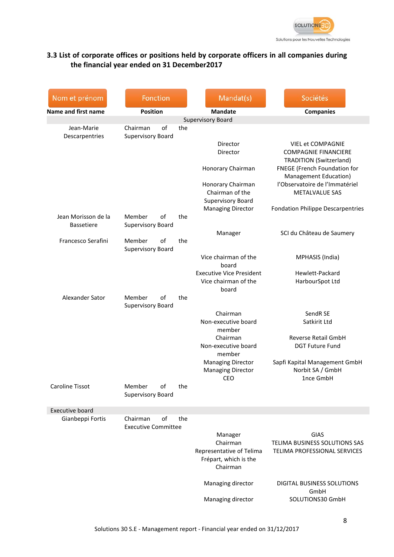

### **3.3 List of corporate offices or positions held by corporate officers in all companies during the financial year ended on 31 December2017**

| Nom et prénom                | Fonction                                   |     | Mandat(s)                                         | Sociétés                                                      |
|------------------------------|--------------------------------------------|-----|---------------------------------------------------|---------------------------------------------------------------|
| Name and first name          | <b>Position</b>                            |     | <b>Mandate</b>                                    | <b>Companies</b>                                              |
|                              |                                            |     | Supervisory Board                                 |                                                               |
| Jean-Marie<br>Descarpentries | of<br>Chairman<br><b>Supervisory Board</b> | the |                                                   |                                                               |
|                              |                                            |     | Director                                          | <b>VIEL et COMPAGNIE</b>                                      |
|                              |                                            |     | Director                                          | <b>COMPAGNIE FINANCIERE</b>                                   |
|                              |                                            |     |                                                   | <b>TRADITION (Switzerland)</b>                                |
|                              |                                            |     | Honorary Chairman                                 | FNEGE (French Foundation for                                  |
|                              |                                            |     |                                                   | Management Education)<br>l'Observatoire de l'Immatériel       |
|                              |                                            |     | Honorary Chairman<br>Chairman of the              | <b>METALVALUE SAS</b>                                         |
|                              |                                            |     | Supervisory Board                                 |                                                               |
|                              |                                            |     | <b>Managing Director</b>                          | <b>Fondation Philippe Descarpentries</b>                      |
| Jean Morisson de la          | Member<br>οf                               | the |                                                   |                                                               |
| <b>Bassetiere</b>            | Supervisory Board                          |     |                                                   |                                                               |
|                              |                                            |     | Manager                                           | SCI du Château de Saumery                                     |
| Francesco Serafini           | Member<br>of                               | the |                                                   |                                                               |
|                              | Supervisory Board                          |     | Vice chairman of the                              |                                                               |
|                              |                                            |     | board                                             | MPHASIS (India)                                               |
|                              |                                            |     | <b>Executive Vice President</b>                   | Hewlett-Packard                                               |
|                              |                                            |     | Vice chairman of the                              | HarbourSpot Ltd                                               |
|                              |                                            |     | board                                             |                                                               |
| Alexander Sator              | Member<br>of                               | the |                                                   |                                                               |
|                              | <b>Supervisory Board</b>                   |     |                                                   |                                                               |
|                              |                                            |     | Chairman<br>Non-executive board                   | SendR SE<br>Satkirit Ltd                                      |
|                              |                                            |     | member                                            |                                                               |
|                              |                                            |     | Chairman                                          | Reverse Retail GmbH                                           |
|                              |                                            |     | Non-executive board<br>member                     | <b>DGT Future Fund</b>                                        |
|                              |                                            |     | <b>Managing Director</b>                          | Sapfi Kapital Management GmbH                                 |
|                              |                                            |     | <b>Managing Director</b>                          | Norbit SA / GmbH                                              |
|                              |                                            |     | <b>CEO</b>                                        | 1nce GmbH                                                     |
| Caroline Tissot              | Member<br>of                               | the |                                                   |                                                               |
|                              | <b>Supervisory Board</b>                   |     |                                                   |                                                               |
| <b>Executive board</b>       |                                            |     |                                                   |                                                               |
| Gianbeppi Fortis             | of<br>Chairman                             | the |                                                   |                                                               |
|                              | <b>Executive Committee</b>                 |     |                                                   |                                                               |
|                              |                                            |     | Manager                                           | GIAS                                                          |
|                              |                                            |     | Chairman                                          | TELIMA BUSINESS SOLUTIONS SAS<br>TELIMA PROFESSIONAL SERVICES |
|                              |                                            |     | Representative of Telima<br>Frépart, which is the |                                                               |
|                              |                                            |     | Chairman                                          |                                                               |
|                              |                                            |     |                                                   |                                                               |
|                              |                                            |     | Managing director                                 | DIGITAL BUSINESS SOLUTIONS                                    |
|                              |                                            |     |                                                   | GmbH                                                          |
|                              |                                            |     | Managing director                                 | SOLUTIONS30 GmbH                                              |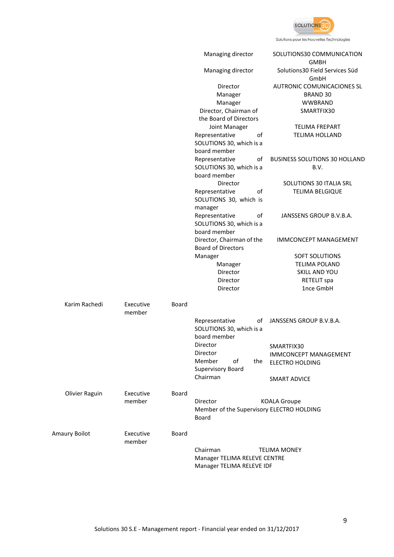

Solutions pour les Nouvelles Technologies

|                |                     |       | Managing director                                                | SOLUTIONS30 COMMUNICATION<br><b>GMBH</b> |
|----------------|---------------------|-------|------------------------------------------------------------------|------------------------------------------|
|                |                     |       | Managing director                                                | Solutions30 Field Services Süd<br>GmbH   |
|                |                     |       | Director                                                         | AUTRONIC COMUNICACIONES SL               |
|                |                     |       | Manager                                                          | <b>BRAND 30</b>                          |
|                |                     |       | Manager                                                          | <b>WWBRAND</b>                           |
|                |                     |       | Director, Chairman of                                            | SMARTFIX30                               |
|                |                     |       | the Board of Directors                                           |                                          |
|                |                     |       | Joint Manager                                                    | <b>TELIMA FREPART</b>                    |
|                |                     |       | of<br>Representative                                             | <b>TELIMA HOLLAND</b>                    |
|                |                     |       | SOLUTIONS 30, which is a                                         |                                          |
|                |                     |       | board member                                                     |                                          |
|                |                     |       | Representative<br>of                                             | <b>BUSINESS SOLUTIONS 30 HOLLAND</b>     |
|                |                     |       | SOLUTIONS 30, which is a                                         | B.V.                                     |
|                |                     |       | board member                                                     |                                          |
|                |                     |       | Director                                                         | SOLUTIONS 30 ITALIA SRL                  |
|                |                     |       | Representative                                                   |                                          |
|                |                     |       | of                                                               | <b>TELIMA BELGIQUE</b>                   |
|                |                     |       | SOLUTIONS 30, which is                                           |                                          |
|                |                     |       | manager                                                          |                                          |
|                |                     |       | of<br>Representative                                             | JANSSENS GROUP B.V.B.A.                  |
|                |                     |       | SOLUTIONS 30, which is a                                         |                                          |
|                |                     |       | board member                                                     |                                          |
|                |                     |       | Director, Chairman of the                                        | IMMCONCEPT MANAGEMENT                    |
|                |                     |       | <b>Board of Directors</b>                                        |                                          |
|                |                     |       | Manager                                                          | SOFT SOLUTIONS                           |
|                |                     |       | Manager                                                          | <b>TELIMA POLAND</b>                     |
|                |                     |       | Director                                                         | SKILL AND YOU                            |
|                |                     |       | Director                                                         | RETELIT spa                              |
|                |                     |       | Director                                                         | 1nce GmbH                                |
| Karim Rachedi  | Executive<br>member | Board |                                                                  |                                          |
|                |                     |       | Representative<br>οf<br>SOLUTIONS 30, which is a<br>board member | JANSSENS GROUP B.V.B.A.                  |
|                |                     |       | Director                                                         |                                          |
|                |                     |       | Director                                                         | SMARTFIX30                               |
|                |                     |       | Member<br>of<br>the                                              | <b>IMMCONCEPT MANAGEMENT</b>             |
|                |                     |       | Supervisory Board                                                | <b>ELECTRO HOLDING</b>                   |
|                |                     |       | Chairman                                                         | <b>SMART ADVICE</b>                      |
| Olivier Raguin | Executive           | Board |                                                                  |                                          |
|                | member              |       | Director<br>Member of the Supervisory ELECTRO HOLDING<br>Board   | <b>KOALA Groupe</b>                      |
| Amaury Boilot  | Executive           | Board |                                                                  |                                          |
|                | member              |       |                                                                  |                                          |
|                |                     |       | Chairman                                                         | <b>TELIMA MONEY</b>                      |
|                |                     |       | Manager TELIMA RELEVE CENTRE<br>Manager TELIMA RELEVE IDF        |                                          |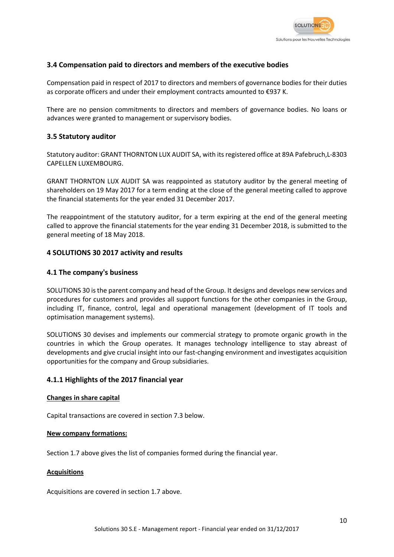

### **3.4 Compensation paid to directors and members of the executive bodies**

Compensation paid in respect of 2017 to directors and members of governance bodies for their duties as corporate officers and under their employment contracts amounted to €937 K.

There are no pension commitments to directors and members of governance bodies. No loans or advances were granted to management or supervisory bodies.

### **3.5 Statutory auditor**

Statutory auditor: GRANT THORNTON LUX AUDIT SA, with its registered office at 89A Pafebruch,L-8303 CAPELLEN LUXEMBOURG.

GRANT THORNTON LUX AUDIT SA was reappointed as statutory auditor by the general meeting of shareholders on 19 May 2017 for a term ending at the close of the general meeting called to approve the financial statements for the year ended 31 December 2017.

The reappointment of the statutory auditor, for a term expiring at the end of the general meeting called to approve the financial statements for the year ending 31 December 2018, is submitted to the general meeting of 18 May 2018.

### **4 SOLUTIONS 30 2017 activity and results**

#### **4.1 The company's business**

SOLUTIONS 30 is the parent company and head of the Group. It designs and develops new services and procedures for customers and provides all support functions for the other companies in the Group, including IT, finance, control, legal and operational management (development of IT tools and optimisation management systems).

SOLUTIONS 30 devises and implements our commercial strategy to promote organic growth in the countries in which the Group operates. It manages technology intelligence to stay abreast of developments and give crucial insight into our fast-changing environment and investigates acquisition opportunities for the company and Group subsidiaries.

### **4.1.1 Highlights of the 2017 financial year**

#### **Changes in share capital**

Capital transactions are covered in section 7.3 below.

#### **New company formations:**

Section 1.7 above gives the list of companies formed during the financial year.

#### **Acquisitions**

Acquisitions are covered in section 1.7 above.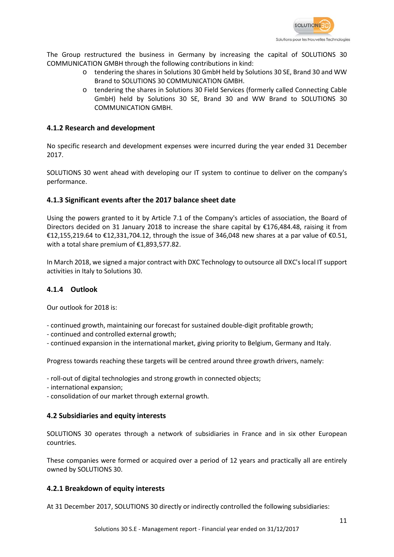

The Group restructured the business in Germany by increasing the capital of SOLUTIONS 30 COMMUNICATION GMBH through the following contributions in kind:

- o tendering the shares in Solutions 30 GmbH held by Solutions 30 SE, Brand 30 and WW Brand to SOLUTIONS 30 COMMUNICATION GMBH.
- o tendering the shares in Solutions 30 Field Services (formerly called Connecting Cable GmbH) held by Solutions 30 SE, Brand 30 and WW Brand to SOLUTIONS 30 COMMUNICATION GMBH.

### **4.1.2 Research and development**

No specific research and development expenses were incurred during the year ended 31 December 2017.

SOLUTIONS 30 went ahead with developing our IT system to continue to deliver on the company's performance.

### **4.1.3 Significant events after the 2017 balance sheet date**

Using the powers granted to it by Article 7.1 of the Company's articles of association, the Board of Directors decided on 31 January 2018 to increase the share capital by €176,484.48, raising it from €12,155,219.64 to €12,331,704.12, through the issue of 346,048 new shares at a par value of €0.51, with a total share premium of €1,893,577.82.

In March 2018, we signed a major contract with DXC Technology to outsource all DXC's local IT support activities in Italy to Solutions 30.

#### **4.1.4 Outlook**

Our outlook for 2018 is:

- continued growth, maintaining our forecast for sustained double-digit profitable growth;
- continued and controlled external growth;
- continued expansion in the international market, giving priority to Belgium, Germany and Italy.

Progress towards reaching these targets will be centred around three growth drivers, namely:

- roll-out of digital technologies and strong growth in connected objects;
- international expansion;
- consolidation of our market through external growth.

### **4.2 Subsidiaries and equity interests**

SOLUTIONS 30 operates through a network of subsidiaries in France and in six other European countries.

These companies were formed or acquired over a period of 12 years and practically all are entirely owned by SOLUTIONS 30.

#### **4.2.1 Breakdown of equity interests**

At 31 December 2017, SOLUTIONS 30 directly or indirectly controlled the following subsidiaries: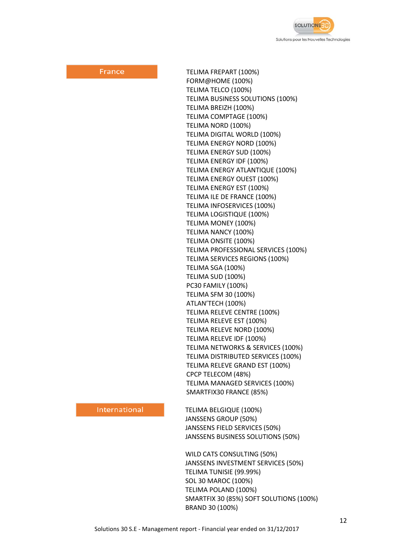

France

TELIMA FREPART (100%) FORM@HOME (100%) TELIMA TELCO (100%) TELIMA BUSINESS SOLUTIONS (100%) TELIMA BREIZH (100%) TELIMA COMPTAGE (100%) TELIMA NORD (100%) TELIMA DIGITAL WORLD (100%) TELIMA ENERGY NORD (100%) TELIMA ENERGY SUD (100%) TELIMA ENERGY IDF (100%) TELIMA ENERGY ATLANTIQUE (100%) TELIMA ENERGY OUEST (100%) TELIMA ENERGY EST (100%) TELIMA ILE DE FRANCE (100%) TELIMA INFOSERVICES (100%) TELIMA LOGISTIQUE (100%) TELIMA MONEY (100%) TELIMA NANCY (100%) TELIMA ONSITE (100%) TELIMA PROFESSIONAL SERVICES (100%) TELIMA SERVICES REGIONS (100%) TELIMA SGA (100%) TELIMA SUD (100%) PC30 FAMILY (100%) TELIMA SFM 30 (100%) ATLAN'TECH (100%) TELIMA RELEVE CENTRE (100%) TELIMA RELEVE EST (100%) TELIMA RELEVE NORD (100%) TELIMA RELEVE IDF (100%) TELIMA NETWORKS & SERVICES (100%) TELIMA DISTRIBUTED SERVICES (100%) TELIMA RELEVE GRAND EST (100%) CPCP TELECOM (48%) TELIMA MANAGED SERVICES (100%) SMARTFIX30 FRANCE (85%)

#### International

TELIMA BELGIQUE (100%) JANSSENS GROUP (50%) JANSSENS FIELD SERVICES (50%) JANSSENS BUSINESS SOLUTIONS (50%)

WILD CATS CONSULTING (50%) JANSSENS INVESTMENT SERVICES (50%) TELIMA TUNISIE (99.99%) SOL 30 MAROC (100%) TELIMA POLAND (100%) SMARTFIX 30 (85%) SOFT SOLUTIONS (100%) BRAND 30 (100%)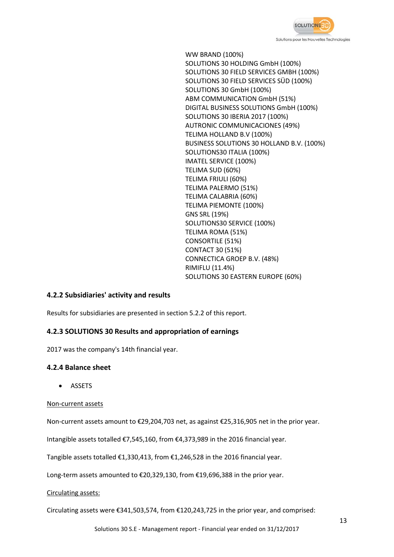

WW BRAND (100%) SOLUTIONS 30 HOLDING GmbH (100%) SOLUTIONS 30 FIELD SERVICES GMBH (100%) SOLUTIONS 30 FIELD SERVICES SÜD (100%) SOLUTIONS 30 GmbH (100%) ABM COMMUNICATION GmbH (51%) DIGITAL BUSINESS SOLUTIONS GmbH (100%) SOLUTIONS 30 IBERIA 2017 (100%) AUTRONIC COMMUNICACIONES (49%) TELIMA HOLLAND B.V (100%) BUSINESS SOLUTIONS 30 HOLLAND B.V. (100%) SOLUTIONS30 ITALIA (100%) IMATEL SERVICE (100%) TELIMA SUD (60%) TELIMA FRIULI (60%) TELIMA PALERMO (51%) TELIMA CALABRIA (60%) TELIMA PIEMONTE (100%) GNS SRL (19%) SOLUTIONS30 SERVICE (100%) TELIMA ROMA (51%) CONSORTILE (51%) CONTACT 30 (51%) CONNECTICA GROEP B.V. (48%) RIMIFLU (11.4%) SOLUTIONS 30 EASTERN EUROPE (60%)

### **4.2.2 Subsidiaries' activity and results**

Results for subsidiaries are presented in section 5.2.2 of this report.

### **4.2.3 SOLUTIONS 30 Results and appropriation of earnings**

2017 was the company's 14th financial year.

### **4.2.4 Balance sheet**

• ASSETS

#### Non-current assets

Non-current assets amount to €29,204,703 net, as against €25,316,905 net in the prior year.

Intangible assets totalled €7,545,160, from €4,373,989 in the 2016 financial year.

Tangible assets totalled €1,330,413, from €1,246,528 in the 2016 financial year.

Long-term assets amounted to €20,329,130, from €19,696,388 in the prior year.

#### Circulating assets:

Circulating assets were  $\epsilon$ 341,503,574, from  $\epsilon$ 120,243,725 in the prior year, and comprised: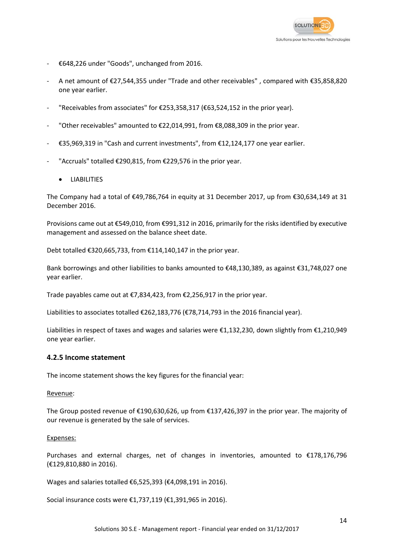

- €648,226 under "Goods", unchanged from 2016.
- A net amount of €27,544,355 under "Trade and other receivables" , compared with €35,858,820 one year earlier.
- "Receivables from associates" for  $E$ 253,358,317 ( $E$ 63,524,152 in the prior year).
- "Other receivables" amounted to €22,014,991, from €8,088,309 in the prior year.
- €35,969,319 in "Cash and current investments", from €12,124,177 one year earlier.
- "Accruals" totalled  $\epsilon$ 290,815, from  $\epsilon$ 229,576 in the prior year.
	- **LIABILITIES**

The Company had a total of €49,786,764 in equity at 31 December 2017, up from €30,634,149 at 31 December 2016.

Provisions came out at €549,010, from €991,312 in 2016, primarily for the risks identified by executive management and assessed on the balance sheet date.

Debt totalled €320,665,733, from €114,140,147 in the prior year.

Bank borrowings and other liabilities to banks amounted to €48,130,389, as against €31,748,027 one year earlier.

Trade payables came out at €7,834,423, from €2,256,917 in the prior year.

Liabilities to associates totalled €262,183,776 (€78,714,793 in the 2016 financial year).

Liabilities in respect of taxes and wages and salaries were €1,132,230, down slightly from €1,210,949 one year earlier.

#### **4.2.5 Income statement**

The income statement shows the key figures for the financial year:

#### Revenue:

The Group posted revenue of €190,630,626, up from €137,426,397 in the prior year. The majority of our revenue is generated by the sale of services.

#### Expenses:

Purchases and external charges, net of changes in inventories, amounted to €178,176,796 (€129,810,880 in 2016).

Wages and salaries totalled €6,525,393 (€4,098,191 in 2016).

Social insurance costs were €1,737,119 (€1,391,965 in 2016).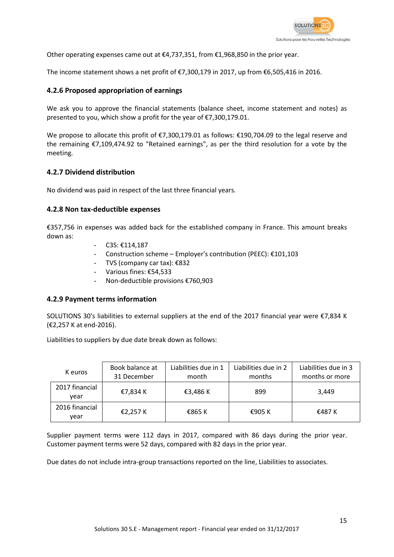

Other operating expenses came out at  $\epsilon$ 4,737,351, from  $\epsilon$ 1,968,850 in the prior year.

The income statement shows a net profit of €7,300,179 in 2017, up from €6,505,416 in 2016.

### **4.2.6 Proposed appropriation of earnings**

We ask you to approve the financial statements (balance sheet, income statement and notes) as presented to you, which show a profit for the year of €7,300,179.01.

We propose to allocate this profit of €7,300,179.01 as follows: €190,704.09 to the legal reserve and the remaining €7,109,474.92 to "Retained earnings", as per the third resolution for a vote by the meeting.

### **4.2.7 Dividend distribution**

No dividend was paid in respect of the last three financial years.

### **4.2.8 Non tax-deductible expenses**

€357,756 in expenses was added back for the established company in France. This amount breaks down as:

- C3S: €114,187
- Construction scheme Employer's contribution (PEEC): €101,103
- TVS (company car tax): €832
- Various fines: €54,533
- Non-deductible provisions €760,903

#### **4.2.9 Payment terms information**

SOLUTIONS 30's liabilities to external suppliers at the end of the 2017 financial year were €7,834 K (€2,257 K at end-2016).

Liabilities to suppliers by due date break down as follows:

| K euros                | Book balance at<br>31 December | Liabilities due in 1<br>month | Liabilities due in 2<br>months | Liabilities due in 3<br>months or more |
|------------------------|--------------------------------|-------------------------------|--------------------------------|----------------------------------------|
| 2017 financial<br>vear | €7,834 K                       | €3,486 K                      | 899                            | 3.449                                  |
| 2016 financial<br>vear | €2,257 K                       | €865 K                        | €905 K                         | €487 K                                 |

Supplier payment terms were 112 days in 2017, compared with 86 days during the prior year. Customer payment terms were 52 days, compared with 82 days in the prior year.

Due dates do not include intra-group transactions reported on the line, Liabilities to associates.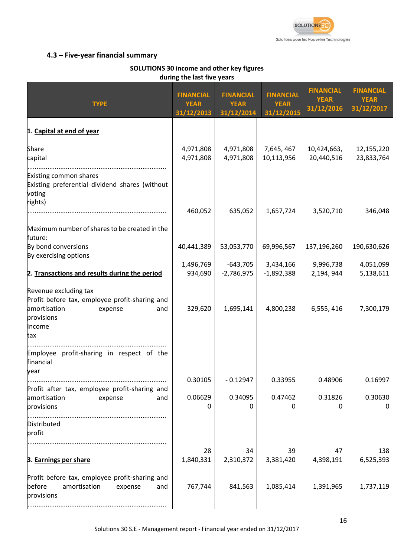

### **4.3 – Five-year financial summary**

#### **SOLUTIONS 30 income and other key figures during the last five years**

| <b>TYPE</b>                                                                                                                              | <b>FINANCIAL</b><br><b>YEAR</b><br>31/12/2013 | <b>FINANCIAL</b><br><b>YEAR</b><br>31/12/2014 | <b>FINANCIAL</b><br><b>YEAR</b><br>31/12/2015 | <b>FINANCIAL</b><br><b>YEAR</b><br>31/12/2016 | <b>FINANCIAL</b><br><b>YEAR</b><br>31/12/2017 |
|------------------------------------------------------------------------------------------------------------------------------------------|-----------------------------------------------|-----------------------------------------------|-----------------------------------------------|-----------------------------------------------|-----------------------------------------------|
| 1. Capital at end of year                                                                                                                |                                               |                                               |                                               |                                               |                                               |
| Share<br>capital                                                                                                                         | 4,971,808<br>4,971,808                        | 4,971,808<br>4,971,808                        | 7,645, 467<br>10,113,956                      | 10,424,663,<br>20,440,516                     | 12,155,220<br>23,833,764                      |
| Existing common shares<br>Existing preferential dividend shares (without<br>voting<br>rights)                                            | 460,052                                       | 635,052                                       | 1,657,724                                     | 3,520,710                                     | 346,048                                       |
| Maximum number of shares to be created in the<br>future:                                                                                 |                                               |                                               |                                               |                                               |                                               |
| By bond conversions                                                                                                                      | 40,441,389                                    | 53,053,770                                    | 69,996,567                                    | 137,196,260                                   | 190,630,626                                   |
| By exercising options<br>2. Transactions and results during the period                                                                   | 1,496,769<br>934,690                          | $-643,705$<br>$-2,786,975$                    | 3,434,166<br>$-1,892,388$                     | 9,996,738<br>2,194, 944                       | 4,051,099<br>5,138,611                        |
| Revenue excluding tax<br>Profit before tax, employee profit-sharing and<br>amortisation<br>expense<br>and<br>provisions<br>Income<br>tax | 329,620                                       | 1,695,141                                     | 4,800,238                                     | 6,555,416                                     | 7,300,179                                     |
| Employee profit-sharing in respect of the<br>financial<br>year                                                                           |                                               |                                               |                                               |                                               |                                               |
| Profit after tax, employee profit-sharing and                                                                                            | 0.30105                                       | $-0.12947$                                    | 0.33955                                       | 0.48906                                       | 0.16997                                       |
| amortisation<br>expense<br>and<br>provisions                                                                                             | 0.06629                                       | 0.34095<br>O                                  | 0.47462                                       | 0.31826                                       | 0.30630<br>0                                  |
| Distributed<br>profit                                                                                                                    |                                               |                                               |                                               |                                               |                                               |
| 3. Earnings per share                                                                                                                    | 28<br>1,840,331                               | 34<br>2,310,372                               | 39<br>3,381,420                               | 47<br>4,398,191                               | 138<br>6,525,393                              |
| Profit before tax, employee profit-sharing and<br>before<br>amortisation<br>expense<br>and<br>provisions                                 | 767,744                                       | 841,563                                       | 1,085,414                                     | 1,391,965                                     | 1,737,119                                     |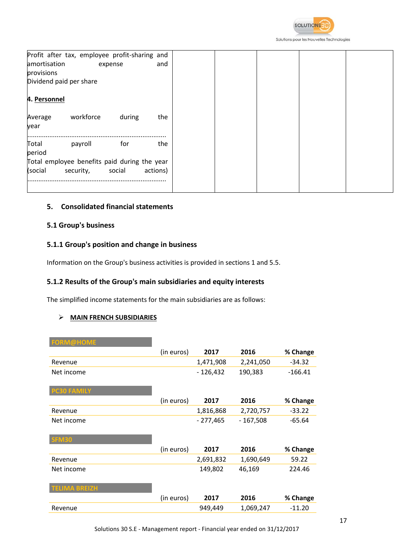

Solutions pour les Nouvelles Technologies

|              | Profit after tax, employee profit-sharing and |         |          |
|--------------|-----------------------------------------------|---------|----------|
| amortisation |                                               | expense | and      |
| provisions   |                                               |         |          |
|              | Dividend paid per share                       |         |          |
|              |                                               |         |          |
| 4. Personnel |                                               |         |          |
|              |                                               |         |          |
| Average      | workforce                                     | during  | the      |
| year         |                                               |         |          |
| Total        | payroll                                       | for     | the      |
| period       |                                               |         |          |
|              | Total employee benefits paid during the year  |         |          |
|              |                                               |         |          |
| (social      | security,                                     | social  | actions) |
|              |                                               |         |          |
|              |                                               |         |          |

### **5. Consolidated financial statements**

### **5.1 Group's business**

### **5.1.1 Group's position and change in business**

Information on the Group's business activities is provided in sections 1 and 5.5.

### **5.1.2 Results of the Group's main subsidiaries and equity interests**

The simplified income statements for the main subsidiaries are as follows:

### **MAIN FRENCH SUBSIDIARIES**

| <b>FORM@HOME</b>     |            |            |            |           |
|----------------------|------------|------------|------------|-----------|
|                      | (in euros) | 2017       | 2016       | % Change  |
| Revenue              |            | 1,471,908  | 2,241,050  | $-34.32$  |
| Net income           |            | $-126,432$ | 190,383    | $-166.41$ |
| <b>PC30 FAMILY</b>   |            |            |            |           |
|                      | (in euros) | 2017       | 2016       | % Change  |
| Revenue              |            | 1,816,868  | 2,720,757  | $-33.22$  |
| Net income           |            | $-277,465$ | $-167,508$ | $-65.64$  |
|                      |            |            |            |           |
| <b>SFM30</b>         |            |            |            |           |
|                      | (in euros) | 2017       | 2016       | % Change  |
| Revenue              |            | 2,691,832  | 1,690,649  | 59.22     |
| Net income           |            | 149,802    | 46,169     | 224.46    |
|                      |            |            |            |           |
| <b>TELIMA BREIZH</b> |            |            |            |           |
|                      | (in euros) | 2017       | 2016       | % Change  |
| Revenue              |            | 949,449    | 1,069,247  | $-11.20$  |
|                      |            |            |            |           |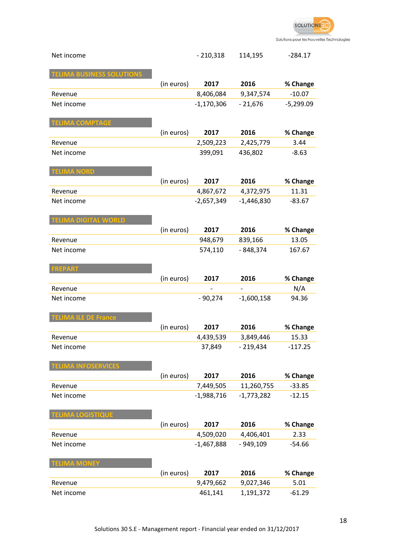

| Net income                       |            | $-210,318$           | 114,195                | $-284.17$         |
|----------------------------------|------------|----------------------|------------------------|-------------------|
|                                  |            |                      |                        |                   |
| <b>TELIMA BUSINESS SOLUTIONS</b> |            |                      |                        |                   |
|                                  | (in euros) | 2017                 | 2016                   | % Change          |
| Revenue                          |            | 8,406,084            | 9,347,574              | $-10.07$          |
| Net income                       |            | $-1,170,306$         | $-21,676$              | $-5,299.09$       |
|                                  |            |                      |                        |                   |
| <b>TELIMA COMPTAGE</b>           |            |                      |                        |                   |
|                                  | (in euros) | 2017                 | 2016                   | % Change          |
| Revenue                          |            | 2,509,223            | 2,425,779              | 3.44              |
| Net income                       |            | 399,091              | 436,802                | $-8.63$           |
|                                  |            |                      |                        |                   |
| <b>ELIMA NORD</b>                |            |                      |                        |                   |
|                                  | (in euros) | 2017                 | 2016                   | % Change          |
| Revenue                          |            | 4,867,672            | 4,372,975              | 11.31             |
| Net income                       |            | $-2,657,349$         | $-1,446,830$           | $-83.67$          |
|                                  |            |                      |                        |                   |
| <b>TELIMA DIGITAL WORLD</b>      |            |                      |                        |                   |
|                                  | (in euros) | 2017                 | 2016                   | % Change          |
| Revenue                          |            | 948,679              | 839,166                | 13.05             |
| Net income                       |            | 574,110              | - 848,374              | 167.67            |
| <b>FREPART</b>                   |            |                      |                        |                   |
|                                  |            |                      |                        |                   |
|                                  |            |                      |                        |                   |
|                                  | (in euros) | 2017                 | 2016                   | % Change          |
| Revenue                          |            |                      |                        | N/A               |
| Net income                       |            | $-90,274$            | $-1,600,158$           | 94.36             |
|                                  |            |                      |                        |                   |
| <b>TELIMA ILE DE France</b>      |            | 2017                 | 2016                   |                   |
| Revenue                          | (in euros) | 4,439,539            | 3,849,446              | % Change<br>15.33 |
| Net income                       |            | 37,849               | $-219,434$             | $-117.25$         |
|                                  |            |                      |                        |                   |
| <b>LIMA INFOSERVICES</b>         |            |                      |                        |                   |
|                                  | (in euros) | 2017                 | 2016                   | % Change          |
| Revenue                          |            | 7,449,505            | 11,260,755             | $-33.85$          |
| Net income                       |            | $-1,988,716$         | $-1,773,282$           | $-12.15$          |
|                                  |            |                      |                        |                   |
| <b>TELIMA LOGISTIQUE</b>         |            |                      |                        |                   |
|                                  | (in euros) | 2017                 | 2016                   | % Change          |
| Revenue                          |            | 4,509,020            | 4,406,401              | 2.33              |
| Net income                       |            | $-1,467,888$         | $-949,109$             | $-54.66$          |
|                                  |            |                      |                        |                   |
| <b>ELIMA MONEY</b>               |            |                      |                        |                   |
|                                  | (in euros) | 2017                 | 2016                   | % Change          |
| Revenue<br>Net income            |            | 9,479,662<br>461,141 | 9,027,346<br>1,191,372 | 5.01<br>$-61.29$  |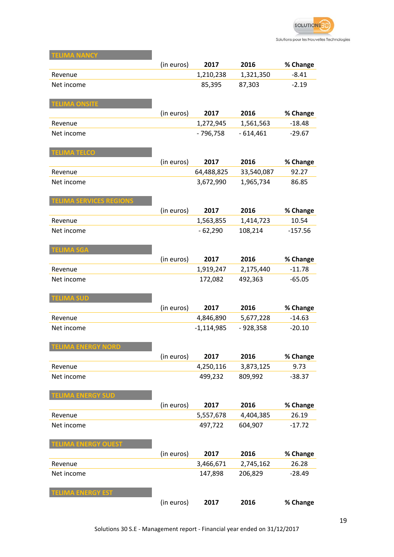

| ELIMA NANCY                    |            |              |            |           |
|--------------------------------|------------|--------------|------------|-----------|
|                                | (in euros) | 2017         | 2016       | % Change  |
| Revenue                        |            | 1,210,238    | 1,321,350  | $-8.41$   |
| Net income                     |            | 85,395       | 87,303     | $-2.19$   |
|                                |            |              |            |           |
| <b>TELIMA ONSITE</b>           |            |              |            |           |
|                                | (in euros) | 2017         | 2016       | % Change  |
| Revenue                        |            | 1,272,945    | 1,561,563  | $-18.48$  |
| Net income                     |            | $-796,758$   | $-614,461$ | $-29.67$  |
|                                |            |              |            |           |
| <b>TELIMA TELCO</b>            |            |              |            |           |
|                                | (in euros) | 2017         | 2016       | % Change  |
| Revenue                        |            | 64,488,825   | 33,540,087 | 92.27     |
| Net income                     |            | 3,672,990    | 1,965,734  | 86.85     |
|                                |            |              |            |           |
| <b>TELIMA SERVICES REGIONS</b> |            |              |            |           |
|                                | (in euros) | 2017         | 2016       | % Change  |
| Revenue                        |            | 1,563,855    | 1,414,723  | 10.54     |
| Net income                     |            | $-62,290$    | 108,214    | $-157.56$ |
|                                |            |              |            |           |
| <b>TELIMA SGA</b>              |            |              |            |           |
|                                | (in euros) | 2017         | 2016       | % Change  |
| Revenue                        |            | 1,919,247    | 2,175,440  | $-11.78$  |
| Net income                     |            | 172,082      | 492,363    | $-65.05$  |
|                                |            |              |            |           |
| <b>TELIMA SUD</b>              |            |              |            |           |
|                                | (in euros) | 2017         | 2016       | % Change  |
| Revenue                        |            | 4,846,890    | 5,677,228  | $-14.63$  |
| Net income                     |            | $-1,114,985$ | $-928,358$ | $-20.10$  |
|                                |            |              |            |           |
| <b>TELIMA ENERGY NORD</b>      |            |              |            |           |
|                                | (in euros) | 2017         | 2016       | % Change  |
| Revenue                        |            | 4,250,116    | 3,873,125  | 9.73      |
| Net income                     |            | 499,232      | 809,992    | $-38.37$  |
|                                |            |              |            |           |
| <b>TELIMA ENERGY SUD</b>       |            |              |            |           |
|                                | (in euros) | 2017         | 2016       | % Change  |
| Revenue                        |            | 5,557,678    | 4,404,385  | 26.19     |
| Net income                     |            | 497,722      | 604,907    | $-17.72$  |
|                                |            |              |            |           |
| <b>TELIMA ENERGY OUEST</b>     |            |              |            |           |
|                                | (in euros) | 2017         | 2016       | % Change  |
| Revenue                        |            | 3,466,671    | 2,745,162  | 26.28     |
| Net income                     |            | 147,898      | 206,829    | $-28.49$  |
|                                |            |              |            |           |
| <b>FELIMA ENERGY EST</b>       |            |              |            |           |
|                                | (in euros) | 2017         | 2016       | % Change  |

۰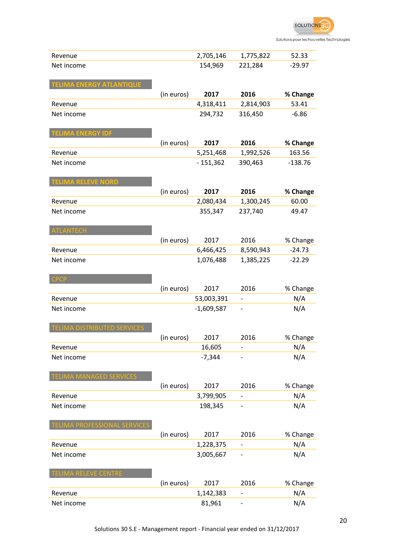

| Revenue                            |            | 2,705,146    | 1,775,822                    | 52.33     |
|------------------------------------|------------|--------------|------------------------------|-----------|
| Net income                         |            | 154,969      | 221,284                      | $-29.97$  |
|                                    |            |              |                              |           |
| <b>TELIMA ENERGY ATLANTIQUE</b>    |            |              |                              |           |
|                                    | (in euros) | 2017         | 2016                         | % Change  |
| Revenue                            |            | 4,318,411    | 2,814,903                    | 53.41     |
| Net income                         |            | 294,732      | 316,450                      | $-6.86$   |
|                                    |            |              |                              |           |
| <b>TELIMA ENERGY IDF</b>           |            |              |                              |           |
|                                    | (in euros) | 2017         | 2016                         | % Change  |
| Revenue                            |            | 5,251,468    | 1,992,526                    | 163.56    |
| Net income                         |            | $-151,362$   | 390,463                      | $-138.76$ |
|                                    |            |              |                              |           |
| <b>TELIMA RELEVE NORD</b>          |            |              |                              |           |
|                                    | (in euros) | 2017         | 2016                         | % Change  |
| Revenue                            |            | 2,080,434    | 1,300,245                    | 60.00     |
| Net income                         |            | 355,347      | 237,740                      | 49.47     |
|                                    |            |              |                              |           |
| <b>TLANTECH</b>                    |            |              |                              |           |
|                                    | (in euros) | 2017         | 2016                         | % Change  |
| Revenue                            |            | 6,466,425    | 8,590,943                    | $-24.73$  |
| Net income                         |            | 1,076,488    | 1,385,225                    | $-22.29$  |
|                                    |            |              |                              |           |
| <b>CPCP</b>                        |            |              |                              |           |
|                                    |            |              |                              |           |
|                                    | (in euros) | 2017         | 2016                         | % Change  |
| Revenue                            |            | 53,003,391   |                              | N/A       |
| Net income                         |            | $-1,609,587$ |                              | N/A       |
|                                    |            |              |                              |           |
| <b>TELIMA DISTRIBUTED SERVICES</b> |            |              |                              |           |
|                                    | (in euros) | 2017         | 2016                         | % Change  |
| Revenue                            |            | 16,605       |                              | N/A       |
| Net income                         |            | $-7,344$     |                              | N/A       |
|                                    |            |              |                              |           |
| <b>TELIMA MANAGED SERVICES</b>     |            |              |                              |           |
|                                    | (in euros) | 2017         | 2016                         | % Change  |
| Revenue                            |            | 3,799,905    |                              | N/A       |
| Net income                         |            | 198,345      |                              | N/A       |
|                                    |            |              |                              |           |
| <b>ELIMA PROFESSIONAL SERVICE!</b> |            |              |                              |           |
|                                    | (in euros) | 2017         | 2016                         | % Change  |
| Revenue                            |            | 1,228,375    |                              | N/A       |
| Net income                         |            | 3,005,667    |                              | N/A       |
|                                    |            |              |                              |           |
| <b>FELIMA RELEVE CENTRE</b>        |            |              |                              |           |
|                                    | (in euros) | 2017         | 2016                         | % Change  |
| Revenue                            |            | 1,142,383    |                              | N/A       |
| Net income                         |            | 81,961       |                              | N/A       |
|                                    |            |              | $\qquad \qquad \blacksquare$ |           |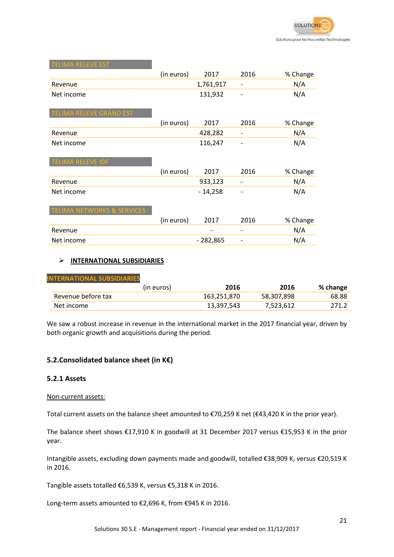| <b>TELIMA RELEVE EST</b>              |            |            |      |          |
|---------------------------------------|------------|------------|------|----------|
|                                       | (in euros) | 2017       | 2016 | % Change |
| Revenue                               |            | 1,761,917  | -    | N/A      |
| Net income                            |            | 131,932    |      | N/A      |
|                                       |            |            |      |          |
| <b>TELIMA RELEVE GRAND EST</b>        |            |            |      |          |
|                                       | (in euros) | 2017       | 2016 | % Change |
| Revenue                               |            | 428,282    |      | N/A      |
| Net income                            |            | 116,247    |      | N/A      |
|                                       |            |            |      |          |
| TELIMA RELEVE IDF                     |            |            |      |          |
|                                       | (in euros) | 2017       | 2016 | % Change |
| Revenue                               |            | 933,123    | -    | N/A      |
| Net income                            |            | $-14,258$  |      | N/A      |
|                                       |            |            |      |          |
| <b>TELIMA NETWORKS &amp; SERVICES</b> |            |            |      |          |
|                                       | (in euros) | 2017       | 2016 | % Change |
| Revenue                               |            |            |      | N/A      |
| Net income                            |            | $-282,865$ |      | N/A      |

### **INTERNATIONAL SUBSIDIARIES**

| <b>INTERNATIONAL SUBSIDIARIES</b> |            |             |            |          |
|-----------------------------------|------------|-------------|------------|----------|
|                                   | (in euros) | 2016        | 2016       | % change |
| Revenue before tax                |            | 163,251,870 | 58,307,898 | 68.88    |
| Net income                        |            | 13,397,543  | 7,523,612  | 271.2    |

We saw a robust increase in revenue in the international market in the 2017 financial year, driven by both organic growth and acquisitions during the period.

### **5.2.Consolidated balance sheet (in K€)**

### **5.2.1 Assets**

#### Non-current assets:

Total current assets on the balance sheet amounted to €70,259 K net (€43,420 K in the prior year).

The balance sheet shows €17,910 K in goodwill at 31 December 2017 versus €15,953 K in the prior year.

Intangible assets, excluding down payments made and goodwill, totalled €38,909 K, versus €20,519 K in 2016.

Tangible assets totalled €6,539 K, versus €5,318 K in 2016.

Long-term assets amounted to €2,696 K, from €945 K in 2016.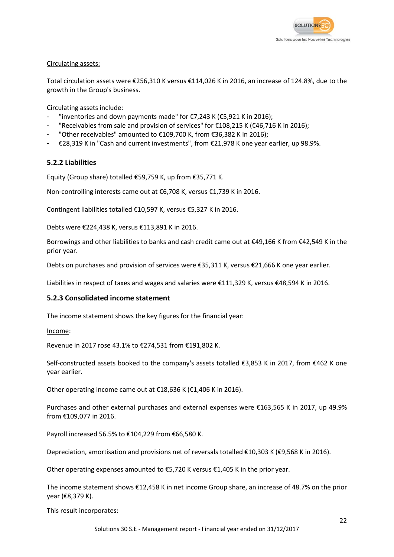

### Circulating assets:

Total circulation assets were €256,310 K versus €114,026 K in 2016, an increase of 124.8%, due to the growth in the Group's business.

Circulating assets include:

- "inventories and down payments made" for  $\epsilon$ 7,243 K ( $\epsilon$ 5,921 K in 2016);
- "Receivables from sale and provision of services" for  $£108,215$  K ( $£46,716$  K in 2016);
- "Other receivables" amounted to €109,700 K, from €36,382 K in 2016);
- €28,319 K in "Cash and current investments", from €21,978 K one year earlier, up 98.9%.

### **5.2.2 Liabilities**

Equity (Group share) totalled €59,759 K, up from €35,771 K.

Non-controlling interests came out at €6,708 K, versus €1,739 K in 2016.

Contingent liabilities totalled €10,597 K, versus €5,327 K in 2016.

Debts were €224,438 K, versus €113,891 K in 2016.

Borrowings and other liabilities to banks and cash credit came out at €49,166 K from €42,549 K in the prior year.

Debts on purchases and provision of services were €35,311 K, versus €21,666 K one year earlier.

Liabilities in respect of taxes and wages and salaries were €111,329 K, versus €48,594 K in 2016.

#### **5.2.3 Consolidated income statement**

The income statement shows the key figures for the financial year:

Income:

Revenue in 2017 rose 43.1% to €274,531 from €191,802 K.

Self-constructed assets booked to the company's assets totalled €3,853 K in 2017, from €462 K one year earlier.

Other operating income came out at €18,636 K (€1,406 K in 2016).

Purchases and other external purchases and external expenses were €163,565 K in 2017, up 49.9% from €109,077 in 2016.

Payroll increased 56.5% to €104,229 from €66,580 K.

Depreciation, amortisation and provisions net of reversals totalled €10,303 K (€9,568 K in 2016).

Other operating expenses amounted to €5,720 K versus €1,405 K in the prior year.

The income statement shows €12,458 K in net income Group share, an increase of 48.7% on the prior year (€8,379 K).

This result incorporates: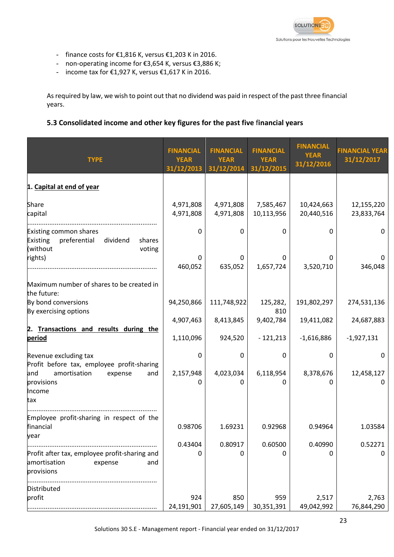

- finance costs for €1,816 K, versus €1,203 K in 2016.
- non-operating income for €3,654 K, versus €3,886 K;
- income tax for €1,927 K, versus €1,617 K in 2016.

As required by law, we wish to point out that no dividend was paid in respect of the past three financial years.

### **5.3 Consolidated income and other key figures for the past five** f**inancial years**

| <b>TYPE</b>                                                                                           | <b>FINANCIAL</b><br><b>YEAR</b><br>31/12/2013 | <b>FINANCIAL</b><br><b>YEAR</b><br>31/12/2014 | <b>FINANCIAL</b><br><b>YEAR</b><br>31/12/2015 | <b>FINANCIAL</b><br><b>YEAR</b><br>31/12/2016 | <b>FINANCIAL YEAR</b><br>31/12/2017 |
|-------------------------------------------------------------------------------------------------------|-----------------------------------------------|-----------------------------------------------|-----------------------------------------------|-----------------------------------------------|-------------------------------------|
| 1. Capital at end of year                                                                             |                                               |                                               |                                               |                                               |                                     |
| Share<br>capital                                                                                      | 4,971,808<br>4,971,808                        | 4,971,808<br>4,971,808                        | 7,585,467<br>10,113,956                       | 10,424,663<br>20,440,516                      | 12,155,220<br>23,833,764            |
| Existing common shares<br><b>Existing</b><br>preferential<br>dividend<br>shares<br>(without<br>voting | 0                                             | $\mathbf{0}$                                  | $\mathbf{0}$                                  | 0                                             | 0                                   |
| rights)                                                                                               | 0<br>460,052                                  | 0<br>635,052                                  | 0<br>1,657,724                                | 3,520,710                                     | 0<br>346,048                        |
| Maximum number of shares to be created in<br>the future:                                              |                                               |                                               |                                               |                                               |                                     |
| By bond conversions<br>By exercising options                                                          | 94,250,866                                    | 111,748,922                                   | 125,282,<br>810                               | 191,802,297                                   | 274,531,136                         |
| 2. Transactions and results during the                                                                | 4,907,463                                     | 8,413,845                                     | 9,402,784                                     | 19,411,082                                    | 24,687,883                          |
| period                                                                                                | 1,110,096                                     | 924,520                                       | $-121,213$                                    | $-1,616,886$                                  | $-1,927,131$                        |
| Revenue excluding tax<br>Profit before tax, employee profit-sharing                                   | 0                                             | 0                                             | $\mathbf{0}$                                  | 0                                             | 0                                   |
| and<br>amortisation<br>expense<br>and<br>provisions<br>Income<br>tax                                  | 2,157,948<br>0                                | 4,023,034<br>0                                | 6,118,954<br>0                                | 8,378,676<br>0                                | 12,458,127<br>0                     |
| Employee profit-sharing in respect of the<br>financial                                                | 0.98706                                       | 1.69231                                       | 0.92968                                       | 0.94964                                       | 1.03584                             |
| year                                                                                                  | 0.43404                                       | 0.80917                                       | 0.60500                                       | 0.40990                                       | 0.52271                             |
| Profit after tax, employee profit-sharing and<br>amortisation<br>expense<br>and<br>provisions         | 0                                             | 0                                             | 0                                             | 0                                             | 0                                   |
| Distributed<br>profit                                                                                 | 924                                           | 850                                           | 959                                           | 2,517                                         | 2,763                               |
|                                                                                                       | 24,191,901                                    | 27,605,149                                    | 30,351,391                                    | 49,042,992                                    | 76,844,290                          |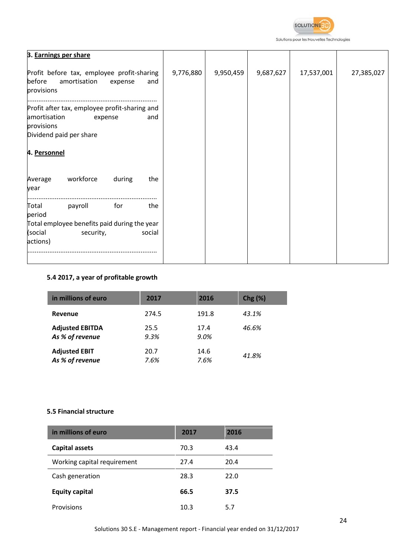

Solutions pour les Nouvelles Technologies

| 3. Earnings per share                                                                                                    |           |           |           |            |            |
|--------------------------------------------------------------------------------------------------------------------------|-----------|-----------|-----------|------------|------------|
| Profit before tax, employee profit-sharing<br>before<br>amortisation<br>and<br>expense<br>provisions                     | 9,776,880 | 9,950,459 | 9,687,627 | 17,537,001 | 27,385,027 |
| Profit after tax, employee profit-sharing and<br>amortisation<br>and<br>expense<br>provisions<br>Dividend paid per share |           |           |           |            |            |
| 4. Personnel                                                                                                             |           |           |           |            |            |
| workforce<br>during<br>the<br>Average<br>year                                                                            |           |           |           |            |            |
| payroll<br>for<br>Total<br>the<br>period                                                                                 |           |           |           |            |            |
| Total employee benefits paid during the year                                                                             |           |           |           |            |            |
| (social<br>social<br>security,<br>actions)                                                                               |           |           |           |            |            |
|                                                                                                                          |           |           |           |            |            |

### **5.4 2017, a year of profitable growth**

| in millions of euro    | 2017  | 2016  | $Chg(\%)$ |
|------------------------|-------|-------|-----------|
| <b>Revenue</b>         | 274.5 | 191.8 | 43.1%     |
| <b>Adjusted EBITDA</b> | 25.5  | 17.4  | 46.6%     |
| As % of revenue        | 9.3%  | 9.0%  |           |
| <b>Adjusted EBIT</b>   | 20.7  | 14.6  | 41.8%     |
| As % of revenue        | 7.6%  | 7.6%  |           |

### **5.5 Financial structure**

| in millions of euro         | 2017 | 2016 |
|-----------------------------|------|------|
| <b>Capital assets</b>       | 70.3 | 43.4 |
| Working capital requirement | 27.4 | 20.4 |
| Cash generation             | 28.3 | 22.0 |
| <b>Equity capital</b>       | 66.5 | 37.5 |
| Provisions                  | 10.3 | 5.7  |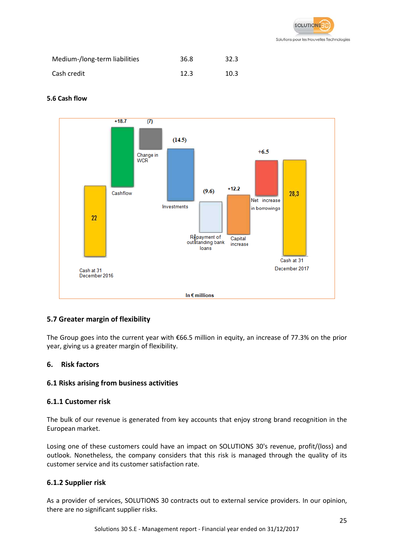

| Medium-/long-term liabilities | 36.8 | 32.3 |
|-------------------------------|------|------|
| Cash credit                   | 12.3 | 10.3 |

### **5.6 Cash flow**



### **5.7 Greater margin of flexibility**

The Group goes into the current year with €66.5 million in equity, an increase of 77.3% on the prior year, giving us a greater margin of flexibility.

#### **6. Risk factors**

### **6.1 Risks arising from business activities**

### **6.1.1 Customer risk**

The bulk of our revenue is generated from key accounts that enjoy strong brand recognition in the European market.

Losing one of these customers could have an impact on SOLUTIONS 30's revenue, profit/(loss) and outlook. Nonetheless, the company considers that this risk is managed through the quality of its customer service and its customer satisfaction rate.

### **6.1.2 Supplier risk**

As a provider of services, SOLUTIONS 30 contracts out to external service providers. In our opinion, there are no significant supplier risks.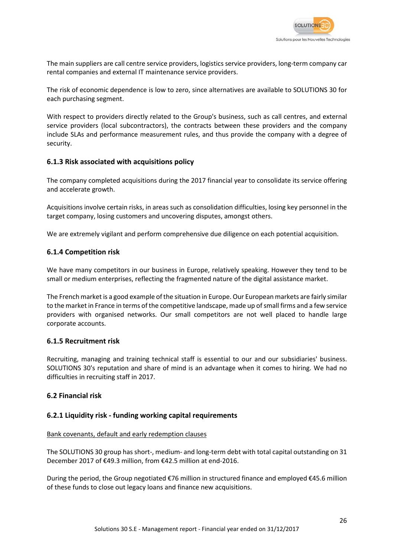

The main suppliers are call centre service providers, logistics service providers, long-term company car rental companies and external IT maintenance service providers.

The risk of economic dependence is low to zero, since alternatives are available to SOLUTIONS 30 for each purchasing segment.

With respect to providers directly related to the Group's business, such as call centres, and external service providers (local subcontractors), the contracts between these providers and the company include SLAs and performance measurement rules, and thus provide the company with a degree of security.

### **6.1.3 Risk associated with acquisitions policy**

The company completed acquisitions during the 2017 financial year to consolidate its service offering and accelerate growth.

Acquisitions involve certain risks, in areas such as consolidation difficulties, losing key personnel in the target company, losing customers and uncovering disputes, amongst others.

We are extremely vigilant and perform comprehensive due diligence on each potential acquisition.

### **6.1.4 Competition risk**

We have many competitors in our business in Europe, relatively speaking. However they tend to be small or medium enterprises, reflecting the fragmented nature of the digital assistance market.

The French market is a good example of the situation in Europe. Our European markets are fairly similar to the market in France in terms of the competitive landscape, made up of small firms and a few service providers with organised networks. Our small competitors are not well placed to handle large corporate accounts.

#### **6.1.5 Recruitment risk**

Recruiting, managing and training technical staff is essential to our and our subsidiaries' business. SOLUTIONS 30's reputation and share of mind is an advantage when it comes to hiring. We had no difficulties in recruiting staff in 2017.

#### **6.2 Financial risk**

#### **6.2.1 Liquidity risk - funding working capital requirements**

#### Bank covenants, default and early redemption clauses

The SOLUTIONS 30 group has short-, medium- and long-term debt with total capital outstanding on 31 December 2017 of €49.3 million, from €42.5 million at end-2016.

During the period, the Group negotiated €76 million in structured finance and employed €45.6 million of these funds to close out legacy loans and finance new acquisitions.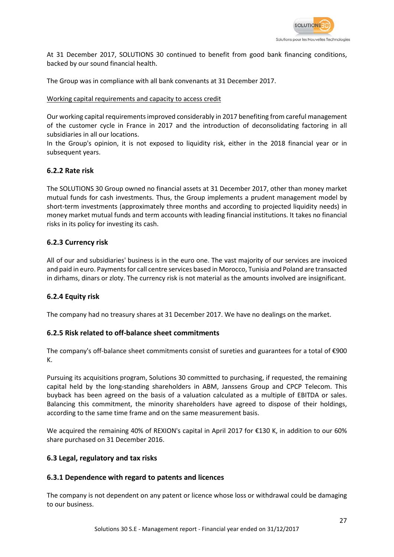

At 31 December 2017, SOLUTIONS 30 continued to benefit from good bank financing conditions, backed by our sound financial health.

The Group was in compliance with all bank convenants at 31 December 2017.

#### Working capital requirements and capacity to access credit

Our working capital requirements improved considerably in 2017 benefiting from careful management of the customer cycle in France in 2017 and the introduction of deconsolidating factoring in all subsidiaries in all our locations.

In the Group's opinion, it is not exposed to liquidity risk, either in the 2018 financial year or in subsequent years.

### **6.2.2 Rate risk**

The SOLUTIONS 30 Group owned no financial assets at 31 December 2017, other than money market mutual funds for cash investments. Thus, the Group implements a prudent management model by short-term investments (approximately three months and according to projected liquidity needs) in money market mutual funds and term accounts with leading financial institutions. It takes no financial risks in its policy for investing its cash.

### **6.2.3 Currency risk**

All of our and subsidiaries' business is in the euro one. The vast majority of our services are invoiced and paid in euro. Payments for call centre services based in Morocco, Tunisia and Poland are transacted in dirhams, dinars or zloty. The currency risk is not material as the amounts involved are insignificant.

### **6.2.4 Equity risk**

The company had no treasury shares at 31 December 2017. We have no dealings on the market.

#### **6.2.5 Risk related to off-balance sheet commitments**

The company's off-balance sheet commitments consist of sureties and guarantees for a total of €900 K.

Pursuing its acquisitions program, Solutions 30 committed to purchasing, if requested, the remaining capital held by the long-standing shareholders in ABM, Janssens Group and CPCP Telecom. This buyback has been agreed on the basis of a valuation calculated as a multiple of EBITDA or sales. Balancing this commitment, the minority shareholders have agreed to dispose of their holdings, according to the same time frame and on the same measurement basis.

We acquired the remaining 40% of REXION's capital in April 2017 for €130 K, in addition to our 60% share purchased on 31 December 2016.

#### **6.3 Legal, regulatory and tax risks**

### **6.3.1 Dependence with regard to patents and licences**

The company is not dependent on any patent or licence whose loss or withdrawal could be damaging to our business.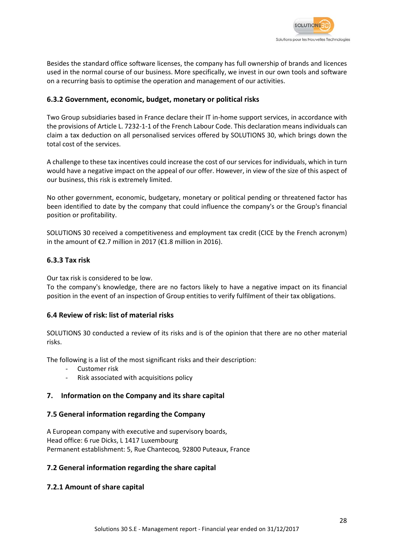

Besides the standard office software licenses, the company has full ownership of brands and licences used in the normal course of our business. More specifically, we invest in our own tools and software on a recurring basis to optimise the operation and management of our activities.

### **6.3.2 Government, economic, budget, monetary or political risks**

Two Group subsidiaries based in France declare their IT in-home support services, in accordance with the provisions of Article L. 7232-1-1 of the French Labour Code. This declaration means individuals can claim a tax deduction on all personalised services offered by SOLUTIONS 30, which brings down the total cost of the services.

A challenge to these tax incentives could increase the cost of our services for individuals, which in turn would have a negative impact on the appeal of our offer. However, in view of the size of this aspect of our business, this risk is extremely limited.

No other government, economic, budgetary, monetary or political pending or threatened factor has been identified to date by the company that could influence the company's or the Group's financial position or profitability.

SOLUTIONS 30 received a competitiveness and employment tax credit (CICE by the French acronym) in the amount of €2.7 million in 2017 (€1.8 million in 2016).

### **6.3.3 Tax risk**

Our tax risk is considered to be low.

To the company's knowledge, there are no factors likely to have a negative impact on its financial position in the event of an inspection of Group entities to verify fulfilment of their tax obligations.

#### **6.4 Review of risk: list of material risks**

SOLUTIONS 30 conducted a review of its risks and is of the opinion that there are no other material risks.

The following is a list of the most significant risks and their description:

- Customer risk
- Risk associated with acquisitions policy

#### **7. Information on the Company and its share capital**

#### **7.5 General information regarding the Company**

A European company with executive and supervisory boards, Head office: 6 rue Dicks, L 1417 Luxembourg Permanent establishment: 5, Rue Chantecoq, 92800 Puteaux, France

#### **7.2 General information regarding the share capital**

#### **7.2.1 Amount of share capital**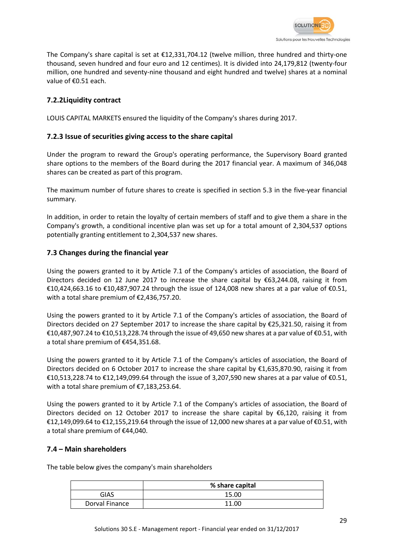

The Company's share capital is set at €12,331,704.12 (twelve million, three hundred and thirty-one thousand, seven hundred and four euro and 12 centimes). It is divided into 24,179,812 (twenty-four million, one hundred and seventy-nine thousand and eight hundred and twelve) shares at a nominal value of €0.51 each.

### **7.2.2Liquidity contract**

LOUIS CAPITAL MARKETS ensured the liquidity of the Company's shares during 2017.

### **7.2.3 Issue of securities giving access to the share capital**

Under the program to reward the Group's operating performance, the Supervisory Board granted share options to the members of the Board during the 2017 financial year. A maximum of 346,048 shares can be created as part of this program.

The maximum number of future shares to create is specified in section 5.3 in the five-year financial summary.

In addition, in order to retain the loyalty of certain members of staff and to give them a share in the Company's growth, a conditional incentive plan was set up for a total amount of 2,304,537 options potentially granting entitlement to 2,304,537 new shares.

### **7.3 Changes during the financial year**

Using the powers granted to it by Article 7.1 of the Company's articles of association, the Board of Directors decided on 12 June 2017 to increase the share capital by  $\epsilon$ 63,244.08, raising it from €10,424,663.16 to €10,487,907.24 through the issue of 124,008 new shares at a par value of €0.51, with a total share premium of €2,436,757.20.

Using the powers granted to it by Article 7.1 of the Company's articles of association, the Board of Directors decided on 27 September 2017 to increase the share capital by €25,321.50, raising it from €10,487,907.24 to €10,513,228.74 through the issue of 49,650 new shares at a par value of €0.51, with a total share premium of €454,351.68.

Using the powers granted to it by Article 7.1 of the Company's articles of association, the Board of Directors decided on 6 October 2017 to increase the share capital by €1,635,870.90, raising it from €10,513,228.74 to €12,149,099.64 through the issue of 3,207,590 new shares at a par value of €0.51, with a total share premium of €7,183,253.64.

Using the powers granted to it by Article 7.1 of the Company's articles of association, the Board of Directors decided on 12 October 2017 to increase the share capital by €6,120, raising it from €12,149,099.64 to €12,155,219.64 through the issue of 12,000 new shares at a par value of €0.51, with a total share premium of €44,040.

### **7.4 – Main shareholders**

The table below gives the company's main shareholders

|                | % share capital |
|----------------|-----------------|
| GIAS           | 15.00           |
| Dorval Finance | 11.00           |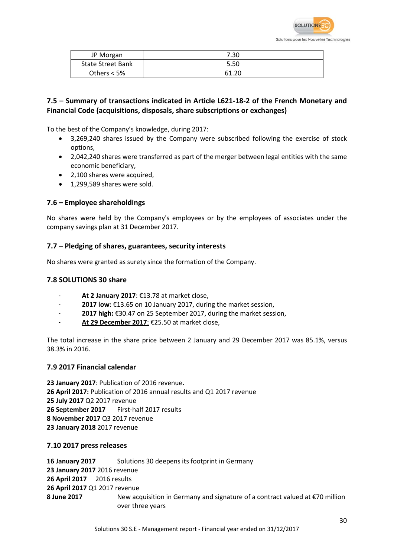

| JP Morgan                | 7.30  |
|--------------------------|-------|
| <b>State Street Bank</b> | 5.50  |
| Others $<$ 5%            | 61.20 |

### **7.5 – Summary of transactions indicated in Article L621-18-2 of the French Monetary and Financial Code (acquisitions, disposals, share subscriptions or exchanges)**

To the best of the Company's knowledge, during 2017:

- 3,269,240 shares issued by the Company were subscribed following the exercise of stock options,
- 2,042,240 shares were transferred as part of the merger between legal entities with the same economic beneficiary,
- 2.100 shares were acquired.
- 1,299,589 shares were sold.

### **7.6 – Employee shareholdings**

No shares were held by the Company's employees or by the employees of associates under the company savings plan at 31 December 2017.

### **7.7 – Pledging of shares, guarantees, security interests**

No shares were granted as surety since the formation of the Company.

#### **7.8 SOLUTIONS 30 share**

- At 2 January 2017: €13.78 at market close,
- 2017 low: €13.65 on 10 January 2017, during the market session,
- **2017 high:** €30.47 on 25 September 2017, during the market session,
- **At 29 December 2017**: €25.50 at market close,

The total increase in the share price between 2 January and 29 December 2017 was 85.1%, versus 38.3% in 2016.

#### **7.9 2017 Financial calendar**

**23 January 2017**: Publication of 2016 revenue. **26 April 2017:** Publication of 2016 annual results and Q1 2017 revenue **25 July 2017** Q2 2017 revenue **26 September 2017** First-half 2017 results **8 November 2017** Q3 2017 revenue **23 January 2018** 2017 revenue

#### **7.10 2017 press releases**

**16 January 2017** Solutions 30 deepens its footprint in Germany **23 January 2017** 2016 revenue **26 April 2017** 2016 results **26 April 2017** Q1 2017 revenue **8 June 2017** New acquisition in Germany and signature of a contract valued at €70 million over three years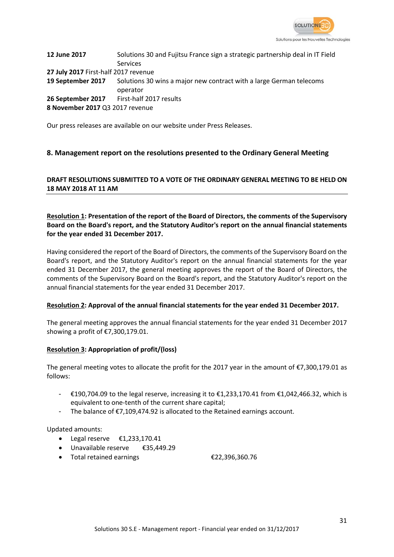

12 June 2017 Solutions 30 and Fujitsu France sign a strategic partnership deal in IT Field Services **27 July 2017** First-half 2017 revenue **19 September 2017** Solutions 30 wins a major new contract with a large German telecoms operator 26 September 2017 First-half 2017 results **8 November 2017** Q3 2017 revenue

Our press releases are available on our website under Press Releases.

### **8. Management report on the resolutions presented to the Ordinary General Meeting**

### **DRAFT RESOLUTIONS SUBMITTED TO A VOTE OF THE ORDINARY GENERAL MEETING TO BE HELD ON 18 MAY 2018 AT 11 AM**

### **Resolution 1: Presentation of the report of the Board of Directors, the comments of the Supervisory Board on the Board's report, and the Statutory Auditor's report on the annual financial statements for the year ended 31 December 2017.**

Having considered the report of the Board of Directors, the comments of the Supervisory Board on the Board's report, and the Statutory Auditor's report on the annual financial statements for the year ended 31 December 2017, the general meeting approves the report of the Board of Directors, the comments of the Supervisory Board on the Board's report, and the Statutory Auditor's report on the annual financial statements for the year ended 31 December 2017.

#### **Resolution 2: Approval of the annual financial statements for the year ended 31 December 2017.**

The general meeting approves the annual financial statements for the year ended 31 December 2017 showing a profit of €7,300,179.01.

#### **Resolution 3: Appropriation of profit/(loss)**

The general meeting votes to allocate the profit for the 2017 year in the amount of  $\epsilon$ 7,300,179.01 as follows:

- €190,704.09 to the legal reserve, increasing it to €1,233,170.41 from €1,042,466.32, which is equivalent to one-tenth of the current share capital;
- The balance of €7,109,474.92 is allocated to the Retained earnings account.

Updated amounts:

- Legal reserve  $£1.233.170.41$
- Unavailable reserve €35,449.29
- Total retained earnings €22,396,360.76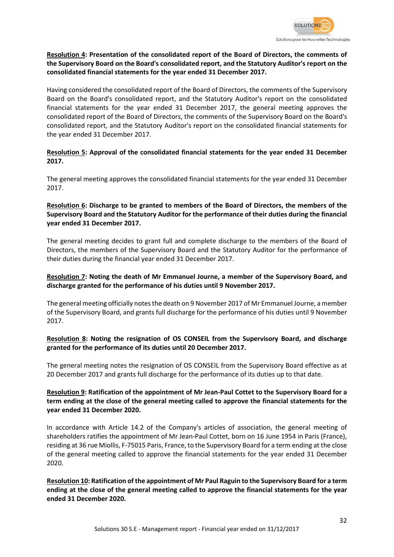

### **Resolution 4: Presentation of the consolidated report of the Board of Directors, the comments of the Supervisory Board on the Board's consolidated report, and the Statutory Auditor's report on the consolidated financial statements for the year ended 31 December 2017.**

Having considered the consolidated report of the Board of Directors, the comments of the Supervisory Board on the Board's consolidated report, and the Statutory Auditor's report on the consolidated financial statements for the year ended 31 December 2017, the general meeting approves the consolidated report of the Board of Directors, the comments of the Supervisory Board on the Board's consolidated report, and the Statutory Auditor's report on the consolidated financial statements for the year ended 31 December 2017.

### **Resolution 5: Approval of the consolidated financial statements for the year ended 31 December 2017.**

The general meeting approves the consolidated financial statements for the year ended 31 December 2017.

### **Resolution 6: Discharge to be granted to members of the Board of Directors, the members of the Supervisory Board and the Statutory Auditor for the performance of their duties during the financial year ended 31 December 2017.**

The general meeting decides to grant full and complete discharge to the members of the Board of Directors, the members of the Supervisory Board and the Statutory Auditor for the performance of their duties during the financial year ended 31 December 2017.

### **Resolution 7: Noting the death of Mr Emmanuel Journe, a member of the Supervisory Board, and discharge granted for the performance of his duties until 9 November 2017.**

The general meeting officially notes the death on 9 November 2017 of Mr Emmanuel Journe, a member of the Supervisory Board, and grants full discharge for the performance of his duties until 9 November 2017.

### **Resolution 8: Noting the resignation of OS CONSEIL from the Supervisory Board, and discharge granted for the performance of its duties until 20 December 2017.**

The general meeting notes the resignation of OS CONSEIL from the Supervisory Board effective as at 20 December 2017 and grants full discharge for the performance of its duties up to that date.

### **Resolution 9: Ratification of the appointment of Mr Jean-Paul Cottet to the Supervisory Board for a term ending at the close of the general meeting called to approve the financial statements for the year ended 31 December 2020.**

In accordance with Article 14.2 of the Company's articles of association, the general meeting of shareholders ratifies the appointment of Mr Jean-Paul Cottet, born on 16 June 1954 in Paris (France), residing at 36 rue Miollis, F-75015 Paris, France, to the Supervisory Board for a term ending at the close of the general meeting called to approve the financial statements for the year ended 31 December 2020.

**Resolution 10: Ratification of the appointment of Mr Paul Raguin to the Supervisory Board for a term ending at the close of the general meeting called to approve the financial statements for the year ended 31 December 2020.**